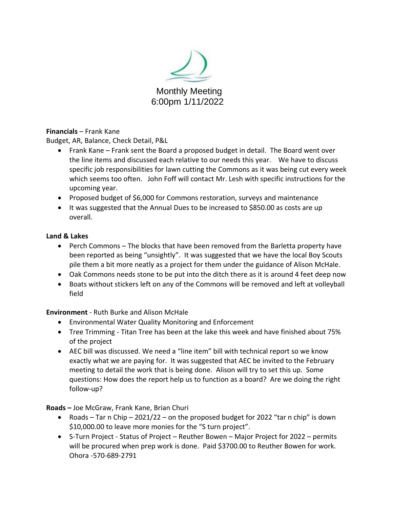

## **Financials** – Frank Kane

Budget, AR, Balance, Check Detail, P&L

- Frank Kane Frank sent the Board a proposed budget in detail. The Board went over the line items and discussed each relative to our needs this year. We have to discuss specific job responsibilities for lawn cutting the Commons as it was being cut every week which seems too often. John Foff will contact Mr. Lesh with specific instructions for the upcoming year.
- Proposed budget of \$6,000 for Commons restoration, surveys and maintenance
- It was suggested that the Annual Dues to be increased to \$850.00 as costs are up overall.

## **Land & Lakes**

- Perch Commons The blocks that have been removed from the Barletta property have been reported as being "unsightly". It was suggested that we have the local Boy Scouts pile them a bit more neatly as a project for them under the guidance of Alison McHale.
- Oak Commons needs stone to be put into the ditch there as it is around 4 feet deep now
- Boats without stickers left on any of the Commons will be removed and left at volleyball field

# **Environment** - Ruth Burke and Alison McHale

- Environmental Water Quality Monitoring and Enforcement
- Tree Trimming Titan Tree has been at the lake this week and have finished about 75% of the project
- AEC bill was discussed. We need a "line item" bill with technical report so we know exactly what we are paying for. It was suggested that AEC be invited to the February meeting to detail the work that is being done. Alison will try to set this up. Some questions: How does the report help us to function as a board? Are we doing the right follow-up?

**Roads –** Joe McGraw, Frank Kane, Brian Churi

- Roads Tar n Chip 2021/22 on the proposed budget for 2022 "tar n chip" is down \$10,000.00 to leave more monies for the "S turn project".
- S-Turn Project Status of Project Reuther Bowen Major Project for 2022 permits will be procured when prep work is done. Paid \$3700.00 to Reuther Bowen for work. Ohora -570-689-2791